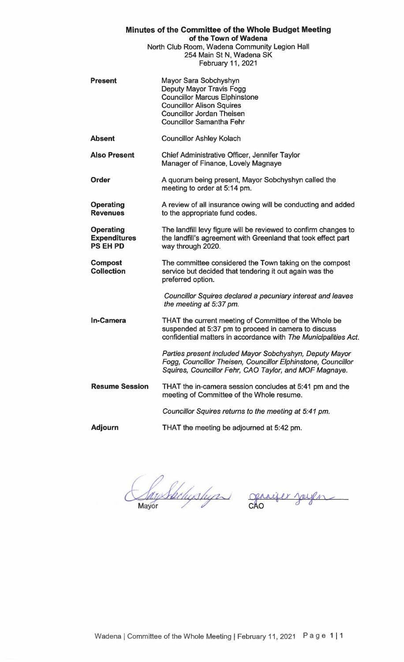| Minutes of the Committee of the Whole Budget Meeting<br>of the Town of Wadena |                                                                                                                                                                                                      |
|-------------------------------------------------------------------------------|------------------------------------------------------------------------------------------------------------------------------------------------------------------------------------------------------|
|                                                                               | North Club Room, Wadena Community Legion Hall<br>254 Main St N, Wadena SK<br>February 11, 2021                                                                                                       |
| <b>Present</b>                                                                | Mayor Sara Sobchyshyn<br>Deputy Mayor Travis Fogg<br><b>Councillor Marcus Elphinstone</b><br><b>Councillor Alison Squires</b><br><b>Councillor Jordan Theisen</b><br><b>Councillor Samantha Fehr</b> |
| <b>Absent</b>                                                                 | <b>Councillor Ashley Kolach</b>                                                                                                                                                                      |
| <b>Also Present</b>                                                           | Chief Administrative Officer, Jennifer Taylor<br>Manager of Finance, Lovely Magnaye                                                                                                                  |
| Order                                                                         | A quorum being present, Mayor Sobchyshyn called the<br>meeting to order at 5:14 pm.                                                                                                                  |
| <b>Operating</b><br><b>Revenues</b>                                           | A review of all insurance owing will be conducting and added<br>to the appropriate fund codes.                                                                                                       |
| <b>Operating</b><br><b>Expenditures</b><br><b>PS EH PD</b>                    | The landfill levy figure will be reviewed to confirm changes to<br>the landfill's agreement with Greenland that took effect part<br>way through 2020.                                                |
| <b>Compost</b><br><b>Collection</b>                                           | The committee considered the Town taking on the compost<br>service but decided that tendering it out again was the<br>preferred option.                                                              |
|                                                                               | Councillor Squires declared a pecuniary interest and leaves<br>the meeting at 5:37 pm.                                                                                                               |
| <b>In-Camera</b>                                                              | THAT the current meeting of Committee of the Whole be<br>suspended at 5:37 pm to proceed in camera to discuss<br>confidential matters in accordance with The Municipalities Act.                     |
|                                                                               | Parties present included Mayor Sobchyshyn, Deputy Mayor<br>Fogg, Councillor Theisen, Councillor Elphinstone, Councillor<br>Squires, Councillor Fehr, CAO Taylor, and MOF Magnaye.                    |
| <b>Resume Session</b>                                                         | THAT the in-camera session concludes at 5:41 pm and the<br>meeting of Committee of the Whole resume.                                                                                                 |
|                                                                               | Councillor Squires returns to the meeting at 5:41 pm.                                                                                                                                                |
| <b>Adjourn</b>                                                                | THAT the meeting be adjourned at 5:42 pm.                                                                                                                                                            |

ay Spehagshyps gunger jeugen Mayor

 $\overline{\phantom{0}}$